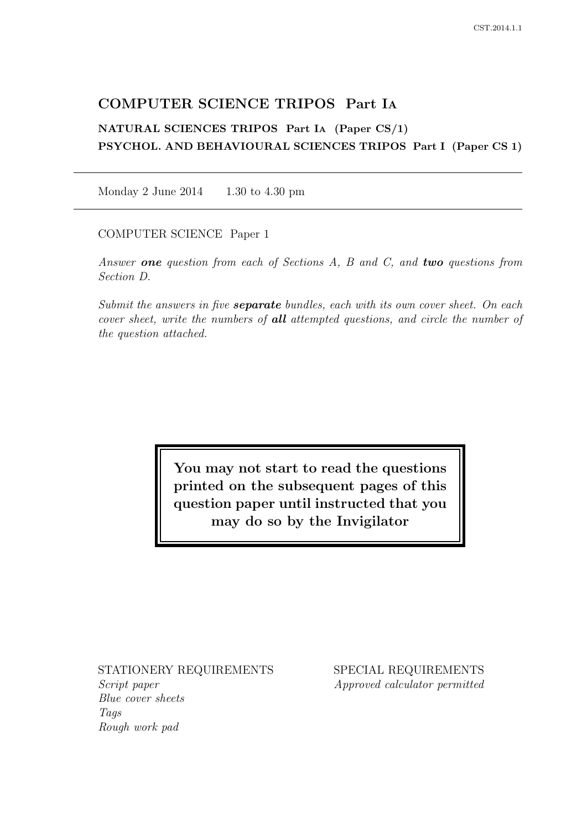# COMPUTER SCIENCE TRIPOS Part IA

# NATURAL SCIENCES TRIPOS Part IA (Paper CS/1) PSYCHOL. AND BEHAVIOURAL SCIENCES TRIPOS Part I (Paper CS 1)

Monday 2 June 2014 1.30 to 4.30 pm

COMPUTER SCIENCE Paper 1

Answer **one** question from each of Sections A, B and C, and **two** questions from Section D.

Submit the answers in five **separate** bundles, each with its own cover sheet. On each cover sheet, write the numbers of **all** attempted questions, and circle the number of the question attached.

> You may not start to read the questions printed on the subsequent pages of this question paper until instructed that you may do so by the Invigilator

## STATIONERY REQUIREMENTS

Script paper Blue cover sheets Tags Rough work pad

SPECIAL REQUIREMENTS Approved calculator permitted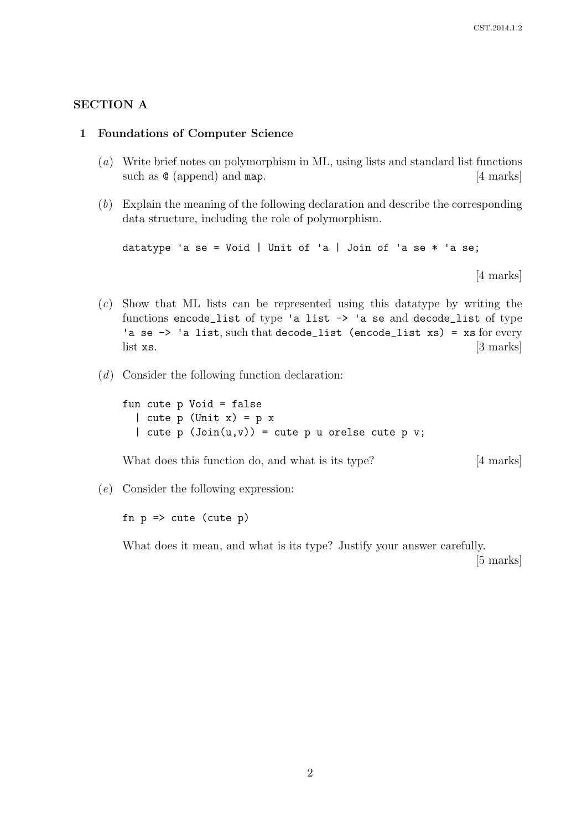### SECTION A

#### 1 Foundations of Computer Science

- (a) Write brief notes on polymorphism in ML, using lists and standard list functions such as  $\mathcal{Q}$  (append) and map. [4 marks]
- (b) Explain the meaning of the following declaration and describe the corresponding data structure, including the role of polymorphism.

datatype 'a se = Void | Unit of 'a | Join of 'a se  $*$  'a se;

[4 marks]

- (c) Show that ML lists can be represented using this datatype by writing the functions encode\_list of type 'a list -> 'a se and decode\_list of type 'a se  $\rightarrow$  'a list, such that decode\_list (encode\_list xs) = xs for every  $\left[3 \text{ marks}\right]$  [3 marks]
- (d) Consider the following function declaration:

fun cute p Void = false | cute  $p$  (Unit  $x$ ) =  $p$   $x$ | cute p  $(Join(u, v)) = cut$ e p u orelse cute p v;

What does this function do, and what is its type? [4 marks]

(e) Consider the following expression:

fn  $p \Rightarrow$  cute (cute  $p$ )

What does it mean, and what is its type? Justify your answer carefully.

[5 marks]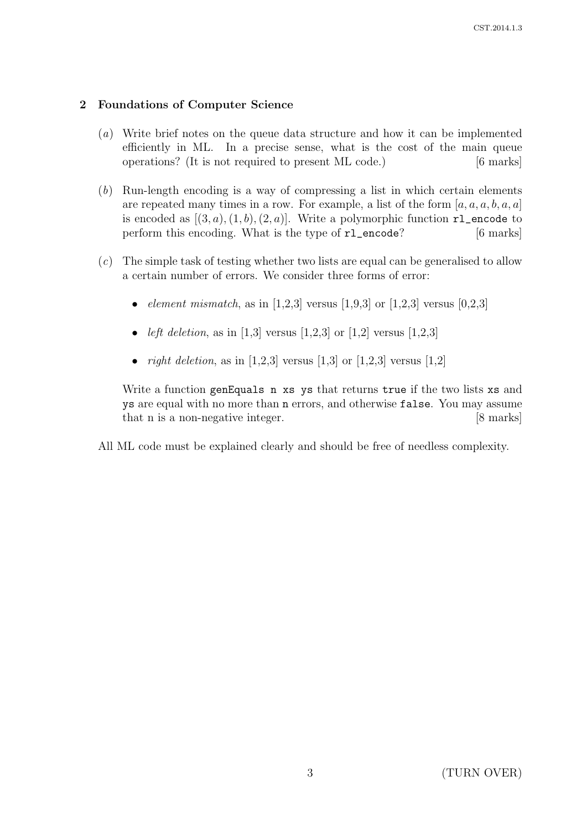# 2 Foundations of Computer Science

- (a) Write brief notes on the queue data structure and how it can be implemented efficiently in ML. In a precise sense, what is the cost of the main queue operations? (It is not required to present ML code.) [6 marks]
- (b) Run-length encoding is a way of compressing a list in which certain elements are repeated many times in a row. For example, a list of the form  $[a, a, a, b, a, a]$ is encoded as  $[(3, a), (1, b), (2, a)]$ . Write a polymorphic function  $r_1$  encode to perform this encoding. What is the type of  $r1$  encode? [6 marks]
- (c) The simple task of testing whether two lists are equal can be generalised to allow a certain number of errors. We consider three forms of error:
	- *element mismatch*, as in [1,2,3] versus [1,9,3] or [1,2,3] versus [0,2,3]
	- *left deletion*, as in [1,3] versus [1,2,3] or [1,2] versus [1,2,3]
	- *right deletion*, as in [1,2,3] versus [1,3] or [1,2,3] versus [1,2]

Write a function genEquals n xs ys that returns true if the two lists xs and ys are equal with no more than n errors, and otherwise false. You may assume that n is a non-negative integer. [8 marks]

All ML code must be explained clearly and should be free of needless complexity.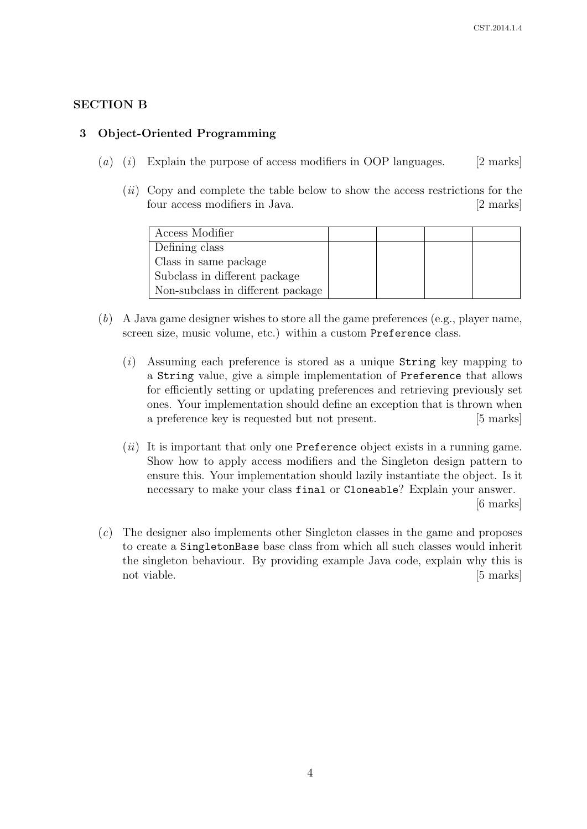# SECTION B

## 3 Object-Oriented Programming

- (a) (i) Explain the purpose of access modifiers in OOP languages. [2 marks]
	- $(ii)$  Copy and complete the table below to show the access restrictions for the four access modifiers in Java. [2 marks]

| Access Modifier                   |  |  |
|-----------------------------------|--|--|
| Defining class                    |  |  |
| Class in same package             |  |  |
| Subclass in different package     |  |  |
| Non-subclass in different package |  |  |

- (b) A Java game designer wishes to store all the game preferences (e.g., player name, screen size, music volume, etc.) within a custom Preference class.
	- $(i)$  Assuming each preference is stored as a unique String key mapping to a String value, give a simple implementation of Preference that allows for efficiently setting or updating preferences and retrieving previously set ones. Your implementation should define an exception that is thrown when a preference key is requested but not present. [5 marks]
	- $(ii)$  It is important that only one Preference object exists in a running game. Show how to apply access modifiers and the Singleton design pattern to ensure this. Your implementation should lazily instantiate the object. Is it necessary to make your class final or Cloneable? Explain your answer. [6 marks]
- (c) The designer also implements other Singleton classes in the game and proposes to create a SingletonBase base class from which all such classes would inherit the singleton behaviour. By providing example Java code, explain why this is not viable. [5 marks]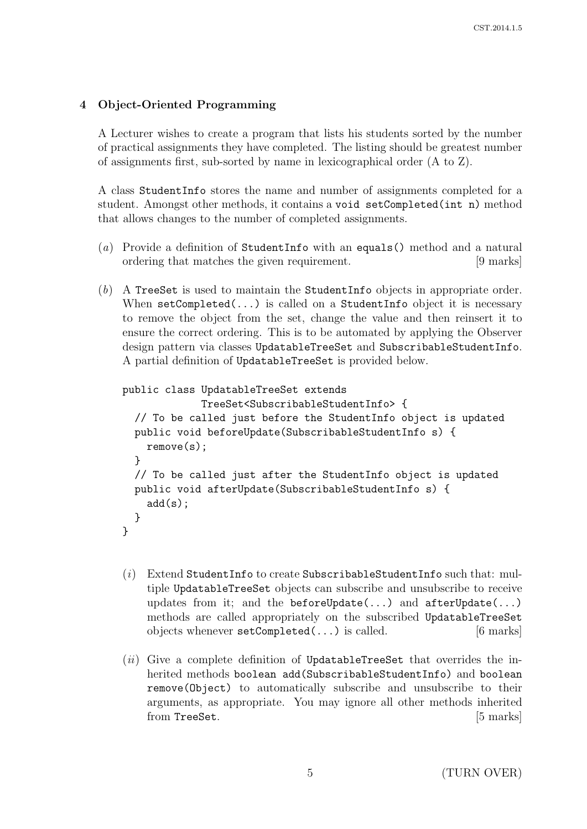# 4 Object-Oriented Programming

A Lecturer wishes to create a program that lists his students sorted by the number of practical assignments they have completed. The listing should be greatest number of assignments first, sub-sorted by name in lexicographical order (A to Z).

A class StudentInfo stores the name and number of assignments completed for a student. Amongst other methods, it contains a void setCompleted(int n) method that allows changes to the number of completed assignments.

- (a) Provide a definition of StudentInfo with an equals() method and a natural ordering that matches the given requirement. [9 marks]
- (b) A TreeSet is used to maintain the StudentInfo objects in appropriate order. When setCompleted(...) is called on a StudentInfo object it is necessary to remove the object from the set, change the value and then reinsert it to ensure the correct ordering. This is to be automated by applying the Observer design pattern via classes UpdatableTreeSet and SubscribableStudentInfo. A partial definition of UpdatableTreeSet is provided below.

```
public class UpdatableTreeSet extends
             TreeSet<SubscribableStudentInfo> {
 // To be called just before the StudentInfo object is updated
 public void beforeUpdate(SubscribableStudentInfo s) {
    remove(s);
  }
  // To be called just after the StudentInfo object is updated
 public void afterUpdate(SubscribableStudentInfo s) {
    add(s);
 }
}
```
- $(i)$  Extend StudentInfo to create SubscribableStudentInfo such that: multiple UpdatableTreeSet objects can subscribe and unsubscribe to receive updates from it; and the beforeUpdate(...) and afterUpdate(...) methods are called appropriately on the subscribed UpdatableTreeSet objects whenever setCompleted(...) is called. [6 marks]
- $(ii)$  Give a complete definition of UpdatableTreeSet that overrides the inherited methods boolean add(SubscribableStudentInfo) and boolean remove(Object) to automatically subscribe and unsubscribe to their arguments, as appropriate. You may ignore all other methods inherited from TreeSet. [5 marks]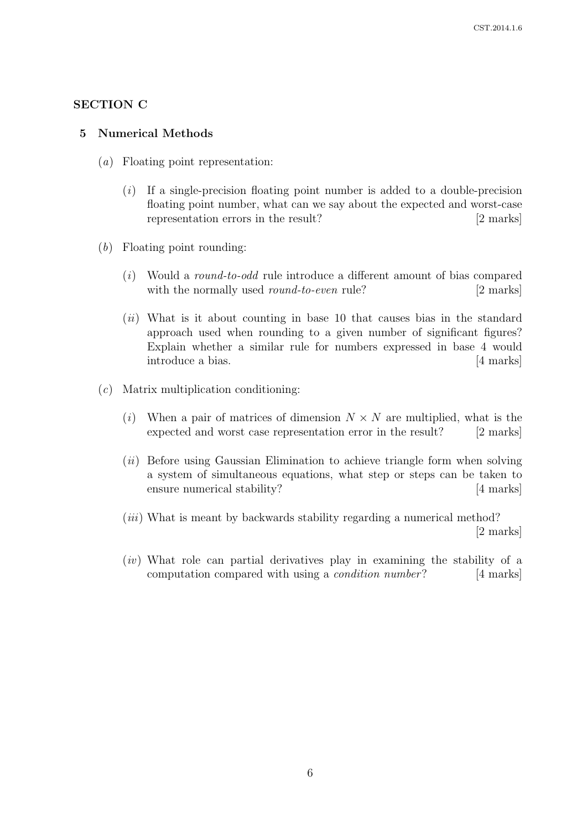## SECTION C

#### 5 Numerical Methods

- (a) Floating point representation:
	- $(i)$  If a single-precision floating point number is added to a double-precision floating point number, what can we say about the expected and worst-case representation errors in the result? [2 marks]
- (b) Floating point rounding:
	- $(i)$  Would a round-to-odd rule introduce a different amount of bias compared with the normally used *round-to-even* rule? [2 marks]
	- $(ii)$  What is it about counting in base 10 that causes bias in the standard approach used when rounding to a given number of significant figures? Explain whether a similar rule for numbers expressed in base 4 would introduce a bias. [4 marks]
- (c) Matrix multiplication conditioning:
	- (i) When a pair of matrices of dimension  $N \times N$  are multiplied, what is the expected and worst case representation error in the result? [2 marks]
	- $(ii)$  Before using Gaussian Elimination to achieve triangle form when solving a system of simultaneous equations, what step or steps can be taken to ensure numerical stability? [4 marks]
	- (*iii*) What is meant by backwards stability regarding a numerical method? [2 marks]
	- $(iv)$  What role can partial derivatives play in examining the stability of a computation compared with using a condition number? [4 marks]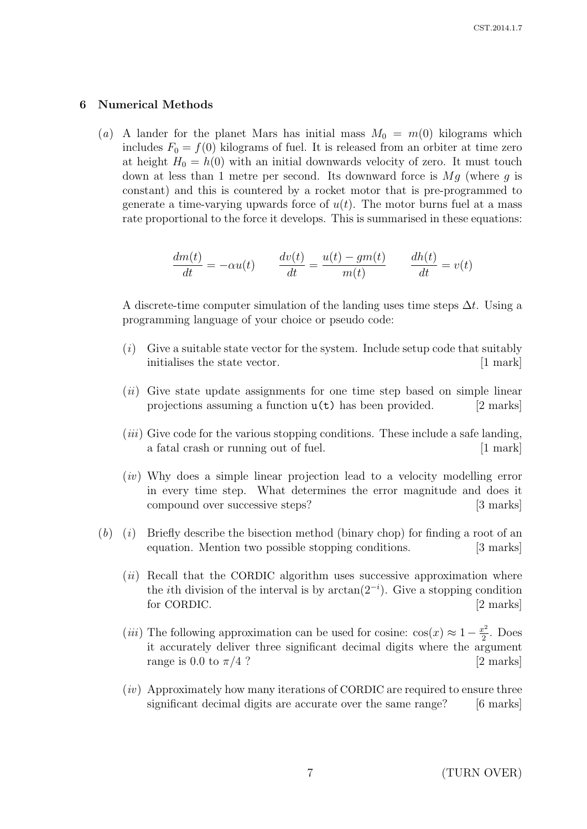#### 6 Numerical Methods

(a) A lander for the planet Mars has initial mass  $M_0 = m(0)$  kilograms which includes  $F_0 = f(0)$  kilograms of fuel. It is released from an orbiter at time zero at height  $H_0 = h(0)$  with an initial downwards velocity of zero. It must touch down at less than 1 metre per second. Its downward force is  $Mg$  (where g is constant) and this is countered by a rocket motor that is pre-programmed to generate a time-varying upwards force of  $u(t)$ . The motor burns fuel at a mass rate proportional to the force it develops. This is summarised in these equations:

$$
\frac{dm(t)}{dt} = -\alpha u(t) \qquad \frac{dv(t)}{dt} = \frac{u(t) - gm(t)}{m(t)} \qquad \frac{dh(t)}{dt} = v(t)
$$

A discrete-time computer simulation of the landing uses time steps  $\Delta t$ . Using a programming language of your choice or pseudo code:

- $(i)$  Give a suitable state vector for the system. Include setup code that suitably initialises the state vector. [1 mark]
- $(ii)$  Give state update assignments for one time step based on simple linear projections assuming a function  $u(t)$  has been provided. [2 marks]
- (*iii*) Give code for the various stopping conditions. These include a safe landing, a fatal crash or running out of fuel. [1 mark]
- (iv) Why does a simple linear projection lead to a velocity modelling error in every time step. What determines the error magnitude and does it compound over successive steps? [3 marks]
- $(b)$  (i) Briefly describe the bisection method (binary chop) for finding a root of an equation. Mention two possible stopping conditions. [3 marks]
	- $(ii)$  Recall that the CORDIC algorithm uses successive approximation where the *i*th division of the interval is by  $arctan(2^{-i})$ . Give a stopping condition for CORDIC. [2 marks]
	- (*iii*) The following approximation can be used for cosine:  $cos(x) \approx 1 \frac{x^2}{2}$  $rac{v^2}{2}$ . Does it accurately deliver three significant decimal digits where the argument range is 0.0 to  $\pi/4$  ? [2 marks]
	- $(iv)$  Approximately how many iterations of CORDIC are required to ensure three significant decimal digits are accurate over the same range? [6 marks]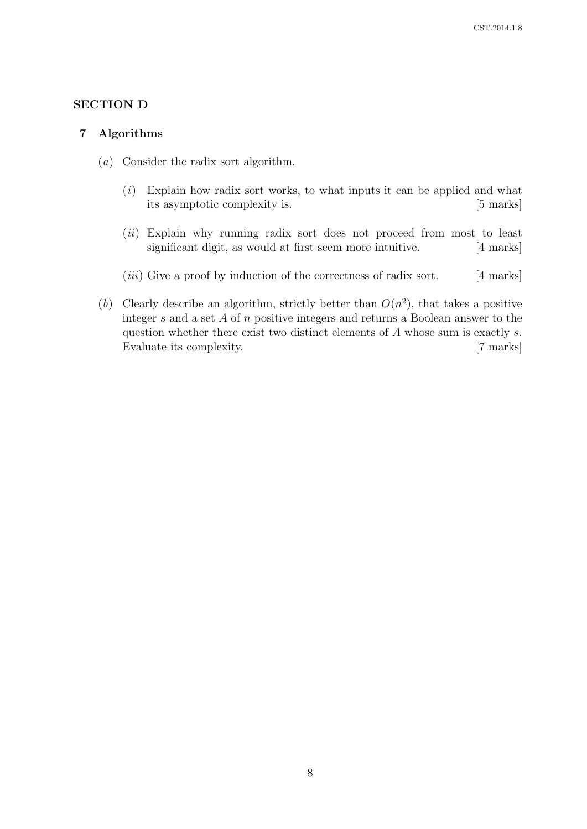# SECTION D

### 7 Algorithms

- (a) Consider the radix sort algorithm.
	- $(i)$  Explain how radix sort works, to what inputs it can be applied and what its asymptotic complexity is. [5 marks]
	- (ii) Explain why running radix sort does not proceed from most to least significant digit, as would at first seem more intuitive. [4 marks]
	- $(iii)$  Give a proof by induction of the correctness of radix sort. [4 marks]
- (b) Clearly describe an algorithm, strictly better than  $O(n^2)$ , that takes a positive integer s and a set A of n positive integers and returns a Boolean answer to the question whether there exist two distinct elements of A whose sum is exactly s. Evaluate its complexity. [7 marks]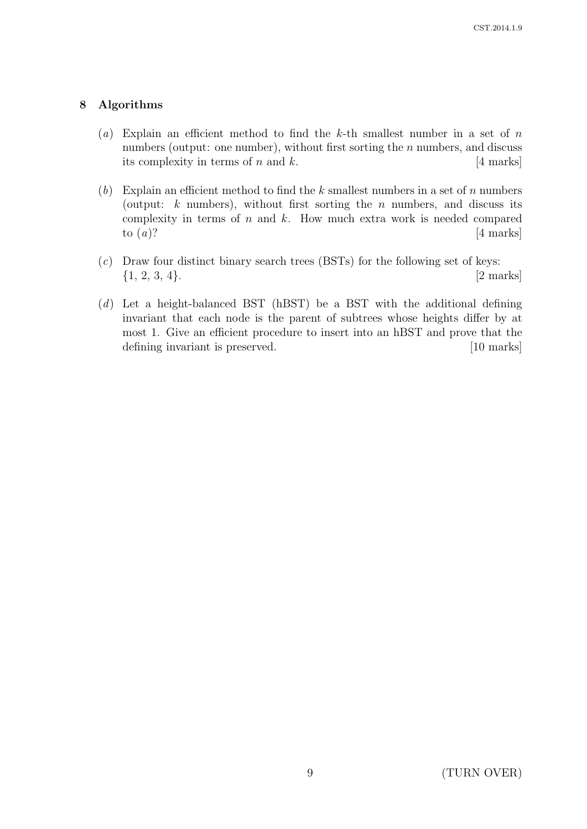# 8 Algorithms

- (a) Explain an efficient method to find the k-th smallest number in a set of  $n$ numbers (output: one number), without first sorting the *n* numbers, and discuss its complexity in terms of n and k.  $[4 \text{ marks}]$
- $(b)$  Explain an efficient method to find the k smallest numbers in a set of n numbers (output:  $k$  numbers), without first sorting the  $n$  numbers, and discuss its complexity in terms of  $n$  and  $k$ . How much extra work is needed compared to  $(a)$ ? [4 marks]
- $(c)$  Draw four distinct binary search trees (BSTs) for the following set of keys:  $\{1, 2, 3, 4\}.$  [2 marks]
- (d) Let a height-balanced BST (hBST) be a BST with the additional defining invariant that each node is the parent of subtrees whose heights differ by at most 1. Give an efficient procedure to insert into an hBST and prove that the defining invariant is preserved. [10 marks]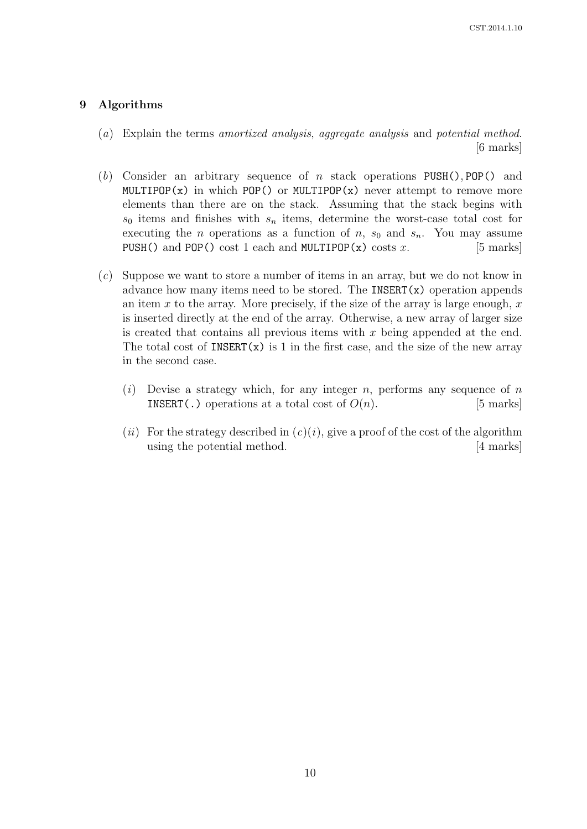## 9 Algorithms

- (a) Explain the terms amortized analysis, aggregate analysis and potential method. [6 marks]
- (b) Consider an arbitrary sequence of n stack operations  $PUSH()$ ,  $POP()$  and MULTIPOP(x) in which POP() or MULTIPOP(x) never attempt to remove more elements than there are on the stack. Assuming that the stack begins with  $s_0$  items and finishes with  $s_n$  items, determine the worst-case total cost for executing the *n* operations as a function of *n*,  $s_0$  and  $s_n$ . You may assume PUSH() and POP() cost 1 each and MULTIPOP(x) costs  $x$ . [5 marks]
- (c) Suppose we want to store a number of items in an array, but we do not know in advance how many items need to be stored. The INSERT $(x)$  operation appends an item  $x$  to the array. More precisely, if the size of the array is large enough,  $x$ is inserted directly at the end of the array. Otherwise, a new array of larger size is created that contains all previous items with  $x$  being appended at the end. The total cost of  $INSENT(x)$  is 1 in the first case, and the size of the new array in the second case.
	- (i) Devise a strategy which, for any integer n, performs any sequence of n INSERT(.) operations at a total cost of  $O(n)$ . [5 marks]
	- (*ii*) For the strategy described in  $(c)(i)$ , give a proof of the cost of the algorithm using the potential method. [4 marks]